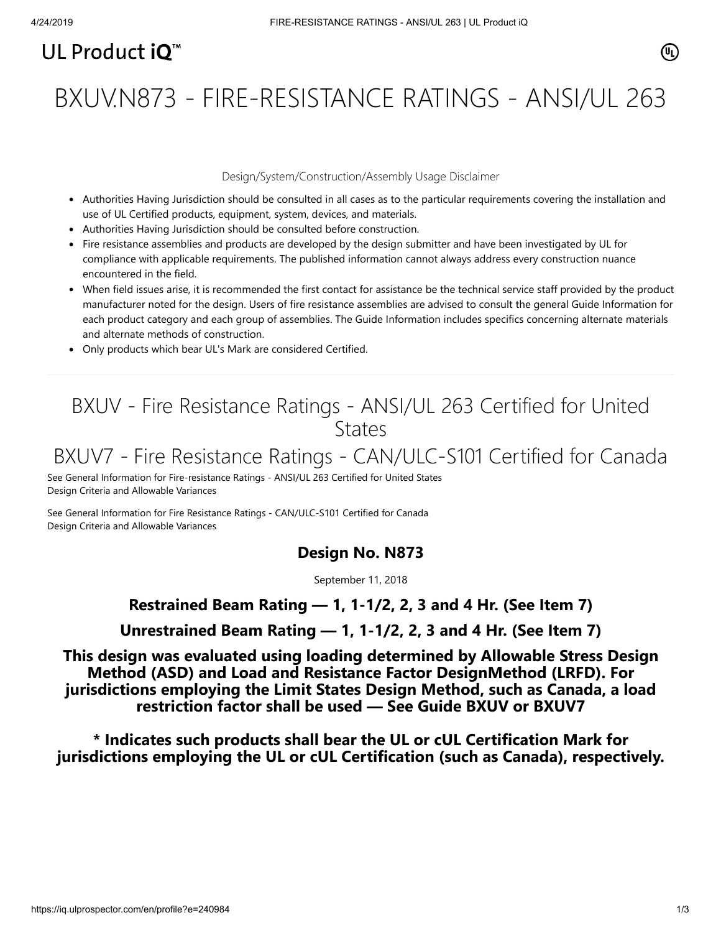# UL Product  $i\mathbf{O}^m$

# BXUV.N873 - FIRE-RESISTANCE RATINGS - ANSI/UL 263

#### Design/System/Construction/Assembly Usage Disclaimer

- Authorities Having Jurisdiction should be consulted in all cases as to the particular requirements covering the installation and use of UL Certified products, equipment, system, devices, and materials.
- Authorities Having Jurisdiction should be consulted before construction.
- Fire resistance assemblies and products are developed by the design submitter and have been investigated by UL for compliance with applicable requirements. The published information cannot always address every construction nuance encountered in the field.
- When field issues arise, it is recommended the first contact for assistance be the technical service staff provided by the product manufacturer noted for the design. Users of fire resistance assemblies are advised to consult the general Guide Information for each product category and each group of assemblies. The Guide Information includes specifics concerning alternate materials and alternate methods of construction.
- Only products which bear UL's Mark are considered Certified.

# BXUV - Fire Resistance Ratings - ANSI/UL 263 Certified for United **States**

# BXUV7 - Fire Resistance Ratings - CAN/ULC-S101 Certified for Canada

[See General Information for Fire-resistance Ratings - ANSI/UL 263 Certified for United States](https://iq.ulprospector.com/cgi-bin/XYV/template/LISEXT/1FRAME/showpage.html?name=BXUV.GuideInfo&ccnshorttitle=Fire-resistance+Ratings+-+ANSI/UL+263&objid=1074327030&cfgid=1073741824&version=versionless&parent_id=1073984818&sequence=1) Design Criteria and Allowable Variances

[See General Information for Fire Resistance Ratings - CAN/ULC-S101 Certified for Canada](https://iq.ulprospector.com/cgi-bin/XYV/template/LISEXT/1FRAME/showpage.html?name=BXUV7.GuideInfo&ccnshorttitle=Fire+Resistance+Ratings+-+CAN/ULC-S101+Certified+for+Canada&objid=1074205658&cfgid=1073741824&version=versionless&parent_id=1073984820&sequence=1) Design Criteria and Allowable Variances

#### **Design No. N873**

September 11, 2018

#### **Restrained Beam Rating — 1, 1-1/2, 2, 3 and 4 Hr. (See Item 7)**

**Unrestrained Beam Rating — 1, 1-1/2, 2, 3 and 4 Hr. (See Item 7)**

**This design was evaluated using loading determined by Allowable Stress Design Method (ASD) and Load and Resistance Factor DesignMethod (LRFD). For jurisdictions employing the Limit States Design Method, such as Canada, a load restriction factor shall be used — See Guide [BXUV](https://database.ul.com/cgi-bin/XYV/template/LISEXT/1FRAME/showpage.html?name=BXUV.GuideInfo&ccnshorttitle=Fire-resistance+Ratings+-+ANSI/UL+263&objid=1074327030&cfgid=1073741824&version=versionless&parent_id=1073984818&sequence=1) or [BXUV7](https://database.ul.com/cgi-bin/XYV/template/LISEXT/1FRAME/showpage.html?name=BXUV7.GuideInfo&ccnshorttitle=Fire+Resistance+Ratings+-+CAN/ULC-S101M+Certified+for+Canada&objid=1074205658&cfgid=1073741824&version=versionless&parent_id=1073984820&sequence=1)**

**\* Indicates such products shall bear the UL or cUL Certification Mark for jurisdictions employing the UL or cUL Certification (such as Canada), respectively.**

⁄ඔ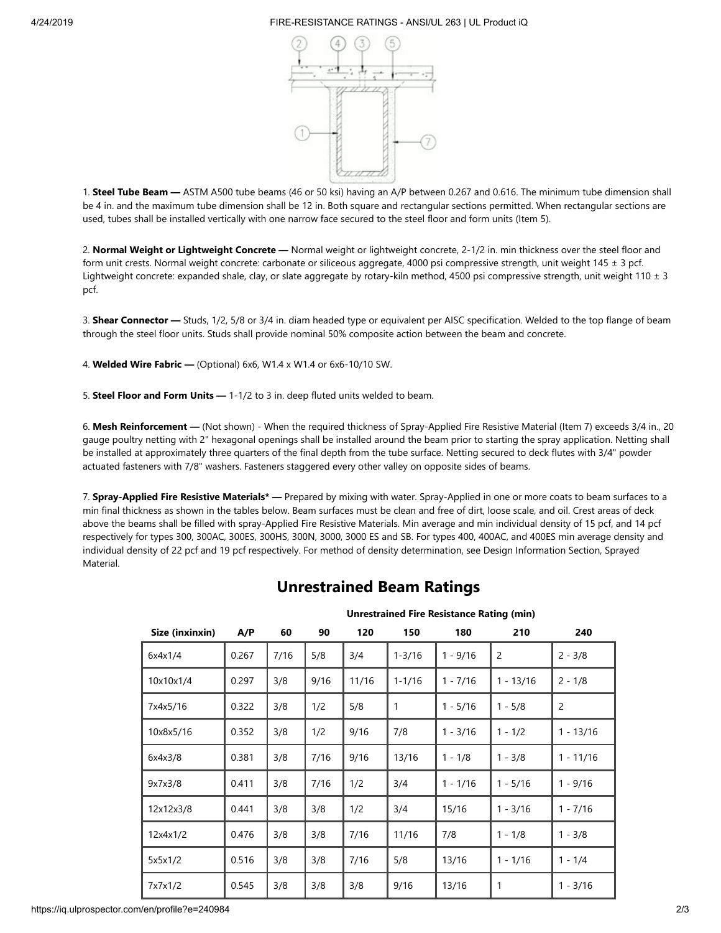#### 4/24/2019 FIRE-RESISTANCE RATINGS - ANSI/UL 263 | UL Product iQ



1. **Steel Tube Beam —** ASTM A500 tube beams (46 or 50 ksi) having an A/P between 0.267 and 0.616. The minimum tube dimension shall be 4 in. and the maximum tube dimension shall be 12 in. Both square and rectangular sections permitted. When rectangular sections are used, tubes shall be installed vertically with one narrow face secured to the steel floor and form units (Item 5).

2. **Normal Weight or Lightweight Concrete —** Normal weight or lightweight concrete, 2-1/2 in. min thickness over the steel floor and form unit crests. Normal weight concrete: carbonate or siliceous aggregate, 4000 psi compressive strength, unit weight 145 ± 3 pcf. Lightweight concrete: expanded shale, clay, or slate aggregate by rotary-kiln method, 4500 psi compressive strength, unit weight 110 ± 3 pcf.

3. **Shear Connector —** Studs, 1/2, 5/8 or 3/4 in. diam headed type or equivalent per AISC specification. Welded to the top flange of beam through the steel floor units. Studs shall provide nominal 50% composite action between the beam and concrete.

4. **Welded Wire Fabric —** (Optional) 6x6, W1.4 x W1.4 or 6x6-10/10 SW.

5. **Steel Floor and Form Units —** 1-1/2 to 3 in. deep fluted units welded to beam.

6. **Mesh Reinforcement —** (Not shown) - When the required thickness of Spray-Applied Fire Resistive Material (Item 7) exceeds 3/4 in., 20 gauge poultry netting with 2" hexagonal openings shall be installed around the beam prior to starting the spray application. Netting shall be installed at approximately three quarters of the final depth from the tube surface. Netting secured to deck flutes with 3/4" powder actuated fasteners with 7/8" washers. Fasteners staggered every other valley on opposite sides of beams.

7. **Spray-Applied Fire Resistive Materials\* —** Prepared by mixing with water. Spray-Applied in one or more coats to beam surfaces to a min final thickness as shown in the tables below. Beam surfaces must be clean and free of dirt, loose scale, and oil. Crest areas of deck above the beams shall be filled with spray-Applied Fire Resistive Materials. Min average and min individual density of 15 pcf, and 14 pcf respectively for types 300, 300AC, 300ES, 300HS, 300N, 3000, 3000 ES and SB. For types 400, 400AC, and 400ES min average density and individual density of 22 pcf and 19 pcf respectively. For method of density determination, see Design Information Section, Sprayed Material.

## **Unrestrained Beam Ratings**

| Size (inxinxin) | A/P   | 60   | 90   | 120   | 150        | 180        | 210            | 240            |
|-----------------|-------|------|------|-------|------------|------------|----------------|----------------|
| 6x4x1/4         | 0.267 | 7/16 | 5/8  | 3/4   | $1 - 3/16$ | $1 - 9/16$ | $\overline{c}$ | $2 - 3/8$      |
| 10x10x1/4       | 0.297 | 3/8  | 9/16 | 11/16 | $1 - 1/16$ | $1 - 7/16$ | $1 - 13/16$    | $2 - 1/8$      |
| 7x4x5/16        | 0.322 | 3/8  | 1/2  | 5/8   | 1          | $1 - 5/16$ | $1 - 5/8$      | $\overline{2}$ |
| 10x8x5/16       | 0.352 | 3/8  | 1/2  | 9/16  | 7/8        | $1 - 3/16$ | $1 - 1/2$      | $1 - 13/16$    |
| 6x4x3/8         | 0.381 | 3/8  | 7/16 | 9/16  | 13/16      | $1 - 1/8$  | $1 - 3/8$      | $1 - 11/16$    |
| 9x7x3/8         | 0.411 | 3/8  | 7/16 | 1/2   | 3/4        | $1 - 1/16$ | $1 - 5/16$     | $1 - 9/16$     |
| 12x12x3/8       | 0.441 | 3/8  | 3/8  | 1/2   | 3/4        | 15/16      | $1 - 3/16$     | $1 - 7/16$     |
| 12x4x1/2        | 0.476 | 3/8  | 3/8  | 7/16  | 11/16      | 7/8        | $1 - 1/8$      | $1 - 3/8$      |
| 5x5x1/2         | 0.516 | 3/8  | 3/8  | 7/16  | 5/8        | 13/16      | $1 - 1/16$     | $1 - 1/4$      |
| 7x7x1/2         | 0.545 | 3/8  | 3/8  | 3/8   | 9/16       | 13/16      | 1              | $1 - 3/16$     |

#### **Unrestrained Fire Resistance Rating (min)**

https://iq.ulprospector.com/en/profile?e=240984 2/3